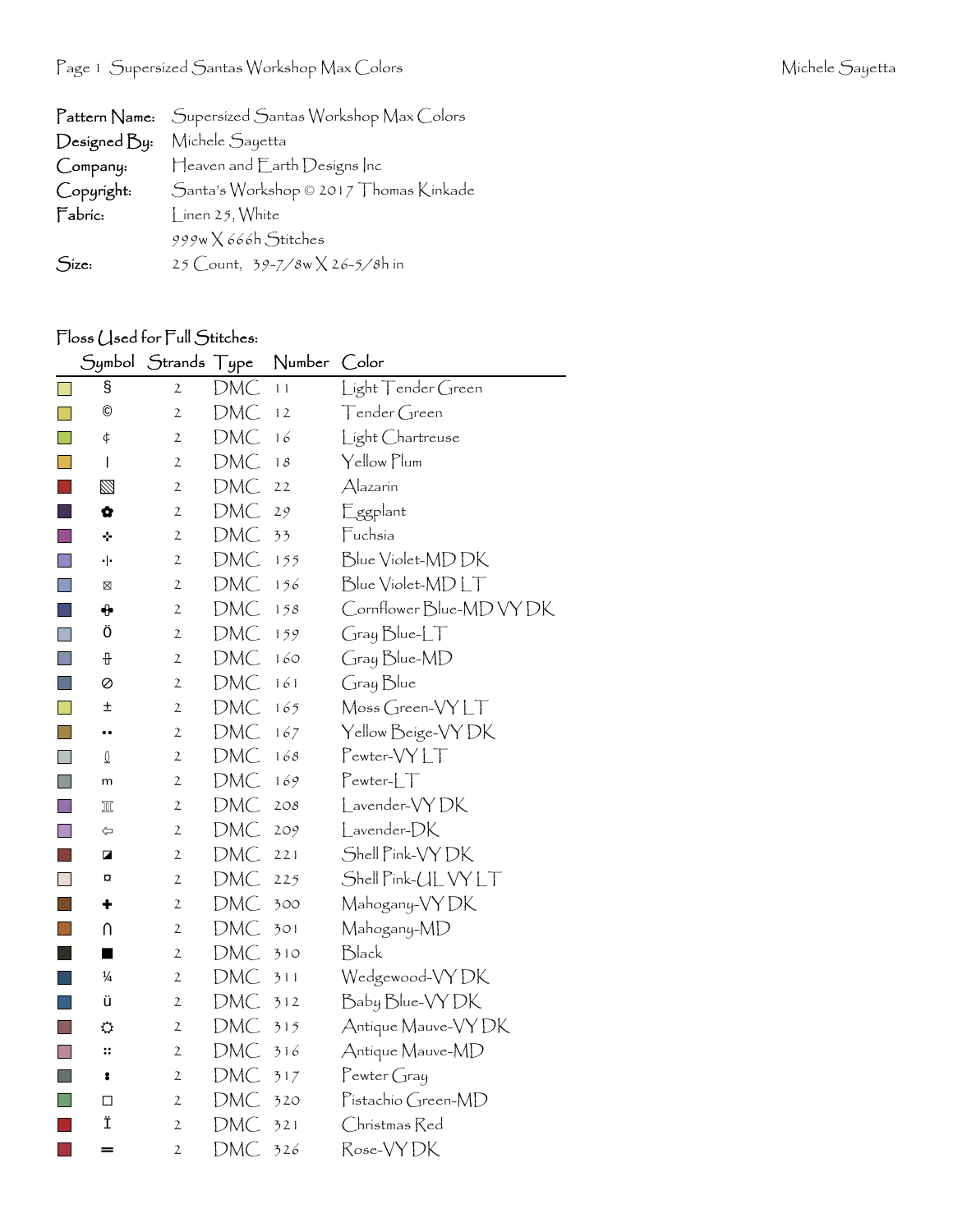|              | Pattern Name: Supersized Santas Workshop Max Colors |
|--------------|-----------------------------------------------------|
| Designed By: | Michele Sayetta                                     |
| Company:     | Heaven and Earth Designs Inc                        |
| Copyright:   | Santa's Workshop © 2017 Thomas Kinkade              |
| Fabric:      | $\frac{1}{2}$ inen 25, White                        |
|              | 999w X 666h Stitches                                |
| Size:        | 25 Count, 39-7/8w X 26-5/8h in                      |

## Floss (Jsed for Full Stitches:

|              | Symbol         | Strands Type   |            | Number | Color                    |
|--------------|----------------|----------------|------------|--------|--------------------------|
|              | g              | $\overline{2}$ | DMC        | 11     | Light Tender Green       |
| $\mathsf{L}$ | $\circledcirc$ | $\overline{2}$ | <b>DMC</b> | 12     | Tender Green             |
|              | ¢              | $\mathbf{2}$   | DMC        | 16     | Light Chartreuse         |
| m,           | I              | 2              | <b>DMC</b> | 18     | Yellow Plum              |
|              | Ø              | $\mathfrak{2}$ | DMC        | 22     | Alazarín                 |
|              | ✿              | $\mathbf{2}$   | DMC        | 29     | Eggplant                 |
|              | ÷              | 2              | <b>DMC</b> | 33     | Fuchsia                  |
| П            | ٠ ۰            | $\mathfrak{2}$ | DMC        | 155    | Blue Violet-MD DK        |
| $\mathsf{L}$ | ⊠              | $\mathfrak{2}$ | <b>DMC</b> | 156    | Blue Violet-MDLT         |
|              | ⊕              | $\mathbf{2}$   | DMC        | 158    | Cornflower Blue-MD VY DK |
| $\Box$       | Ö              | 2              | DMC        | 159    | Gray Blue-LT             |
| $\mathbf{I}$ | ₽              | $\mathfrak{2}$ | DMC        | 160    | Gray Blue-MD             |
| <b>I</b>     | ⊘              | 2              | DMC        | 161    | Gray Blue                |
|              | Ŧ              | $\mathfrak{2}$ | DMC        | 165    | Moss Green-VYLT          |
| l a          |                | $\mathfrak{2}$ | DMC        | 167    | Yellow Beige-VY DK       |
| $\Box$       | $\mathbb Q$    | $\mathfrak{2}$ | DMC        | 168    | Pewter-VYLT              |
| l.           | m              | $\mathfrak{2}$ | DMC        | 169    | $Pewter-LT$              |
| k.           | π              | $\mathfrak{2}$ | DMC        | 2O8    | Lavender-VYDK            |
| H            | ⇦              | $\mathfrak{2}$ | DMC        | 209    | Lavender-DK              |
| ×.           | ◪              | $\mathbf{2}$   | DMC        | 221    | Shell Pink-VY DK         |
| $\Box$       | ¤              | $\mathfrak{2}$ | DMC        | 225    | Shell Pink-UL VY LT      |
| ×.           | ٠              | $\mathfrak{2}$ | DMC        | 300    | Mahogany-VY DK           |
|              | $\cap$         | $\mathfrak{2}$ | DMC        | 301    | Mahogany-MD              |
|              | ■              | $\mathfrak{2}$ | <b>DMC</b> | 310    | Black                    |
|              | $\frac{1}{4}$  | 2              | <b>DMC</b> | 311    | Wedgewood-VY DK          |
|              | ü              | $\mathfrak{2}$ | DMC        | 312    | Baby Blue-VY DK          |
| in 1         | ⇔              | 2              | <b>DMC</b> | 315    | Antique Mauve-VY DK      |
|              | ።              | $\mathfrak{2}$ | DMC        | 316    | Antique Mauve-MD         |
| ×            | 8              | 2              | <b>DMC</b> | 317    | $P$ ewter Gray           |
|              | □              | 2              | DMC        | 320    | Pistachio Green-MD       |
|              | Ϊ              | $\overline{2}$ | <b>DMC</b> | 321    | Christmas Red            |
|              | =              | $\overline{c}$ | DMC        | 326    | Rose-VYDK                |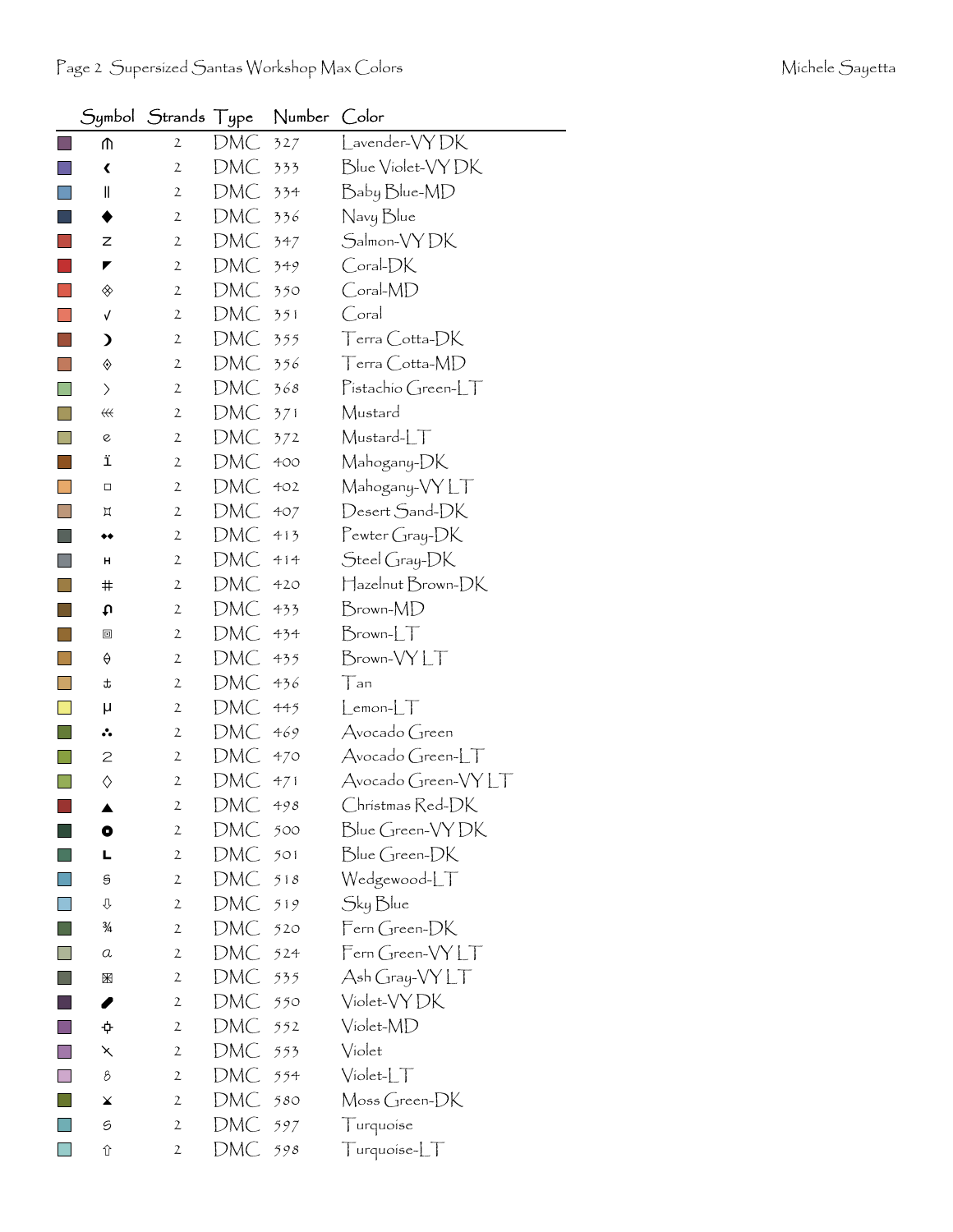|                              | Symbol $\,$ Strands $\,$ Type |            | Number Color |                                        |
|------------------------------|-------------------------------|------------|--------------|----------------------------------------|
| ጠ                            | $\mathbf{2}$                  | DMC        | 327          | Lavender-VYDK                          |
| ∢                            | $\mathbf{2}$                  | DMC        | 333          | Blue Violet-VY DK                      |
| II                           | $\mathbf{2}$                  | DMC        | 334          | Baby Blue-MD                           |
|                              | $\mathbf{2}$                  | DMC        | 336          | Navy Blue                              |
| z                            | $\mathbf{2}$                  | DMC        | 347          | Salmon-VY DK                           |
| ◤                            | $\mathbf{2}$                  | DMC        | 349          | Coral-DK                               |
| ◈                            | $\mathbf{2}$                  | DMC        | 350          | Coral-MD                               |
| $\checkmark$                 | $\mathbf{2}$                  | DMC        | 351          | Coral                                  |
| ⟩                            | $\mathbf{2}$                  | DMC        | 355          | $T$ erra $\bigcirc$ otta- $\bigcirc$ K |
| ♦                            | $\mathbf{2}$                  | DMC        | 356          | Terra Cotta-MD                         |
| $\left\langle \right\rangle$ | $\mathbf{2}$                  | DMC        | 368          | Pistachio Green-LT                     |
| #                            | $\mathbf{2}$                  | DMC        | 371          | Mustard                                |
| e                            | 2                             | DMC        | 372          | Mustard-LT                             |
| ï                            | $\mathbf{2}$                  | DMC        | 400          | Mahogany-DK                            |
| $\Box$                       | 2                             | DMC        | 402          | Mahogany-VYLT                          |
| Д                            | $\mathbf{2}$                  | DMC        | 407          | Desert Sand-DK                         |
| ◆◆                           | $\mathbf{2}$                  | DMC        | 413          | Pewter Gray-DK                         |
| н                            | $\mathbf{2}$                  | DMC        | 414          | Steel Gray-DK                          |
| #                            | $\mathbf{2}$                  | DMC        | 420          | Hazelnut Brown-DK                      |
| t                            | $\mathbf{2}$                  | DMC        | 433          | Brown-MD                               |
| ▣                            | $\mathbf{2}$                  | DMC        | 434          | $Brown$ - $LT$                         |
| ♦                            | $\mathbf{2}$                  | DMC        | 435          | Brown-VYLT                             |
| t                            | $\mathbf{2}$                  | DMC        | 436          | Tan                                    |
| μ                            | $\mathbf{2}$                  | DMC        | 445          | $L$ emon- $LT$                         |
| ∴.                           | $\mathbf{2}$                  | DMC        | 469          | Avocado Green                          |
| $\mathsf{S}$                 | $\mathbf{2}$                  | DMC        | 470          | Avocado Green-LT                       |
| ♦                            | $\mathbf{2}$                  | DMC        | 471          | Avocado Green-VYLT                     |
| ▲                            | $\mathbf{z}$                  | <b>DMC</b> | 498          | Christmas Red-DK                       |
| $\bullet$                    | $\mathbf{2}$                  | DMC        | 500          | Blue Green-VYDK                        |
| L                            | 2                             | DMC        | 501          | Blue Green-DK                          |
| 9                            | $\mathbf{2}$                  | DMC        | 518          | Wedgewood-LT                           |
| ⇩                            | 2                             | DMC        | 519          | Sky Blue                               |
| ¾                            | $\mathbf{2}$                  | DMC        | 520          | Fern Green-DK                          |
| a                            | 2                             | DMC        | 524          | Fern Green-VYLT                        |
| 圏                            | $\mathbf{2}$                  | DMC        | 535          | Ash Gray-VY LT                         |
| ◢                            | 2                             | DMC        | 550          | Violet-VY DK                           |
| ¢                            | 2                             | DMC        | 552          | Violet-MD                              |
| ⋋                            | $\mathbf{2}$                  | DMC        | 553          | Violet                                 |
| 8                            | $\overline{2}$                | DMC        | 554          | $Violet-LT$                            |
| ¥                            | 2                             | DMC        | 580          | Moss Green-DK                          |
| 9                            | 2                             | DMC        | 597          | Turquoise                              |
| ⇧                            | $\overline{2}$                | DMC        | 598          | Turquoise-LT                           |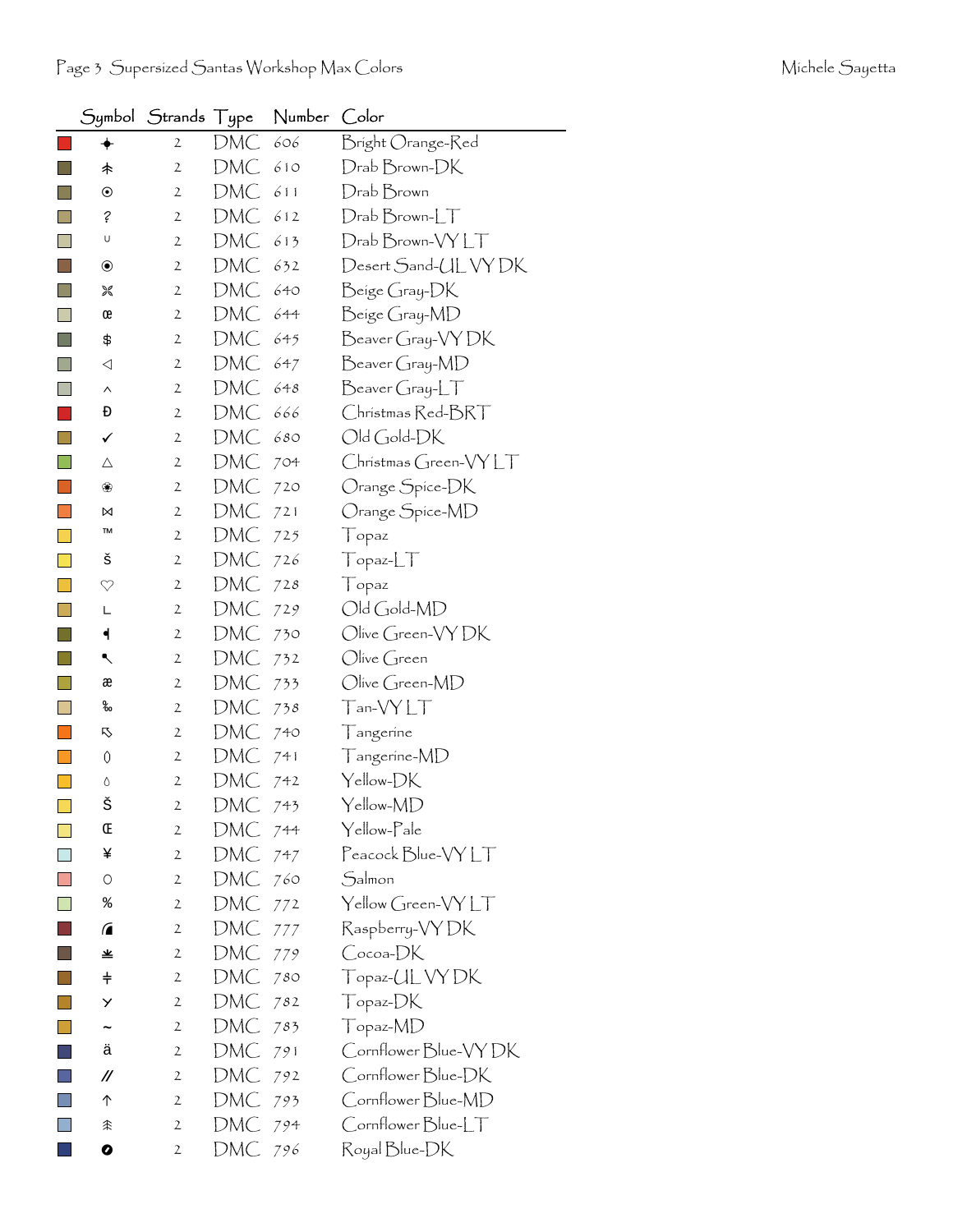|              | Symbol                | Strands Type   |     | Number | Color                       |
|--------------|-----------------------|----------------|-----|--------|-----------------------------|
|              | ✦                     | $\mathbf{2}$   | DMC | 606    | Bright Orange-Red           |
| $\mathbf{I}$ | 未                     | $\mathbf{2}$   | DMC | 610    | Drab Brown-DK               |
|              | $\odot$               | $\mathfrak{2}$ | DMC | 611    | Drab Brown                  |
|              | $\acute{\epsilon}$    | $\mathbf{2}$   | DMC | 612    | $D$ rab $B$ rown- $LT$      |
|              | U                     | $\mathbf 2$    | DMC | 613    | Drab Brown-VYLT             |
| $\sim$       | $\circledbullet$      | $\mathfrak{2}$ | DMC | 632    | Desert Sand-UL VY DK        |
|              | 饕                     | $\mathfrak{2}$ | DMC | 640    | Beige Gray-DK               |
|              | œ                     | $\mathbf{2}$   | DMC | 644    | Beige Gray-MD               |
|              | \$                    | 2              | DMC | 645    | Beaver Gray-VY DK           |
| H            | ◁                     | $\mathfrak{2}$ | DMC | 647    | Beaver Gray-MD              |
|              | $\boldsymbol{\wedge}$ | $\mathbf{2}$   | DMC | 648    | $\beta$ eaver Gray-L $\top$ |
|              | Đ                     | $\mathbf{2}$   | DMC | 666    | Christmas Red-BRT           |
|              | ✓                     | $\mathfrak{2}$ | DMC | 680    | Old Gold-DK                 |
|              | Δ                     | $\mathfrak{2}$ | DMC | 704    | Christmas Green-VYLT        |
|              | ❀                     | $\mathbf{2}$   | DMC | 720    | Orange Spice-DK             |
|              | ⋈                     | 2              | DMC | 721    | Orange Spice-MD             |
|              | TM                    | $\mathfrak{2}$ | DMC | 725    | Topaz                       |
|              | š                     | $\mathfrak{2}$ | DMC | 726    | Topaz-LT                    |
|              | $\heartsuit$          | $\mathbf{2}$   | DMC | 728    | Topaz                       |
|              | L                     | $\mathbf{2}$   | DMC | 729    | Old Gold-MD                 |
|              | ┥                     | $\mathfrak{2}$ | DMC | 730    | Olive Green-VY DK           |
|              | ↖                     | 2              | DMC | 732    | Olive Green                 |
|              | æ                     | $\mathbf{2}$   | DMC | 733    | Olive Green-MD              |
|              | ಹಿ                    | $\mathbf{2}$   | DMC | 738    | Tan-VYLT                    |
|              | 叺                     | 2              | DMC | 740    | Tangerine                   |
|              | 0                     | $\mathbf{2}$   | DMC | 741    | Tangerine-MD                |
|              | Δ                     | $\mathbf{2}$   | DMC | 742    | Yellow-DK                   |
| $\Box$       | š                     | $\mathbf{z}$   | DMC | 743    | Yellow-MD                   |
|              | Œ                     | 2              | DMC | 744    | Yellow-Pale                 |
|              | ¥                     | 2              | DMC | 747    | Peacock Blue-VYLT           |
|              | O                     | $\mathfrak{2}$ | DMC | 760    | Salmon                      |
|              | %                     | $\mathbf{2}$   | DMC | 772    | Yellow Green-VYLT           |
|              | ⋒                     | 2              | DMC | 777    | Raspberry-VYDK              |
|              | 坐                     | 2              | DMC | 779    | Cocoa-DK                    |
|              | $\ddagger$            | $\mathbf{2}$   | DMC | 780    | Topaz-UL VY DK              |
|              | У                     | 2              | DMC | 782    | Topaz-DK                    |
|              | $\tilde{\phantom{a}}$ | $\mathfrak{2}$ | DMC | 783    | Topaz-MD                    |
|              | ä                     | $\mathbf{2}$   | DMC | 791    | Cornflower Blue-VY DK       |
|              | //                    | $\mathbf{2}$   | DMC | 792    | Cornflower Blue-DK          |
|              | 个                     | $\mathfrak{2}$ | DMC | 793    | Cornflower Blue-MD          |
|              | 余                     | 2              | DMC | 794    | Cornflower Blue-LT          |
|              | 0                     | 2              | DMC | 796    | Royal Blue-DK               |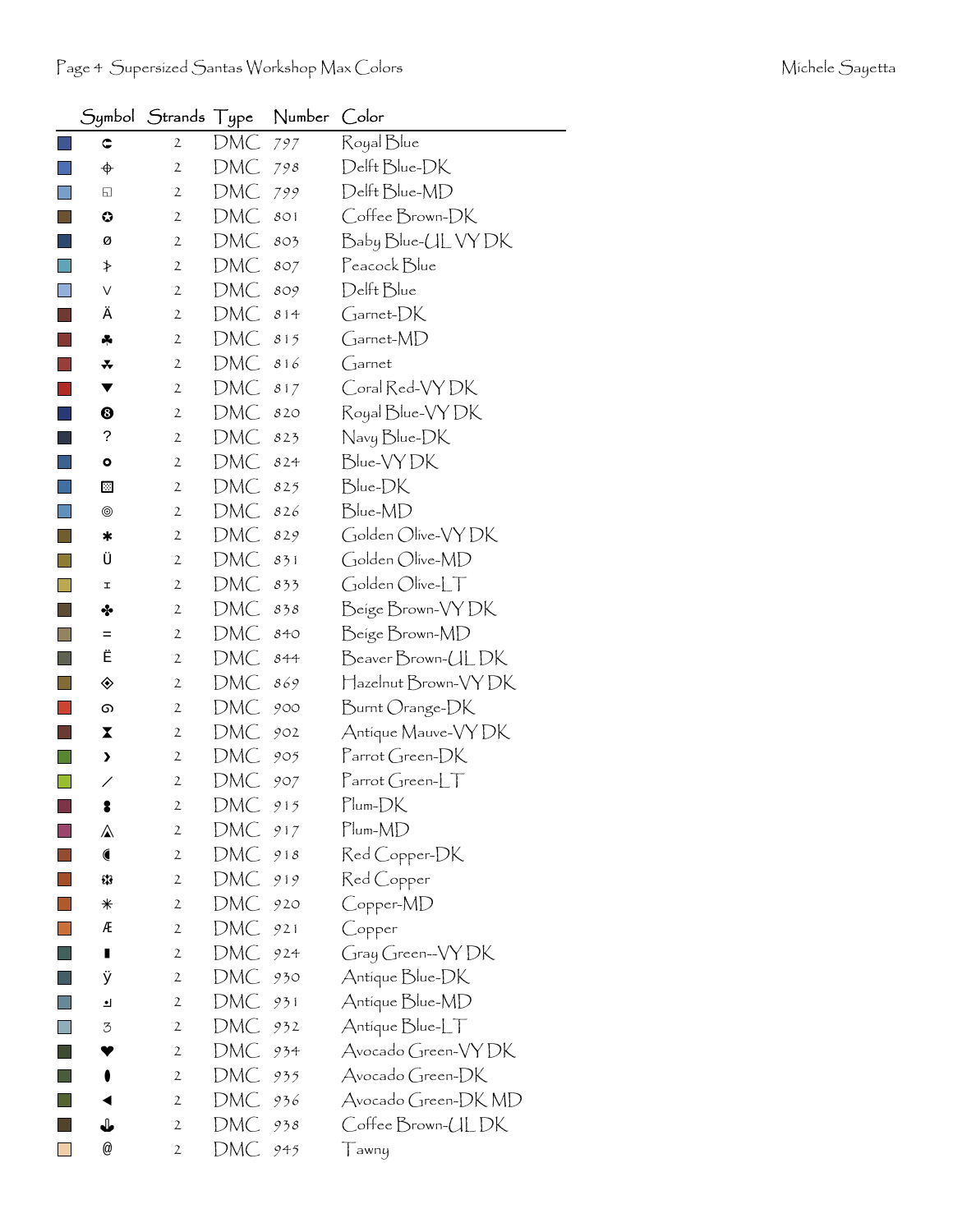|                |             | Symbol Strands Type |     | Number | Color                         |
|----------------|-------------|---------------------|-----|--------|-------------------------------|
|                | ¢           | $\mathbf{2}$        | DMC | 797    | Royal Blue                    |
|                | $\bigoplus$ | $\mathbf{2}$        | DMC | 798    | Delft Blue-DK                 |
|                | 6           | $\mathfrak{2}$      | DMC | 799    | Delft Blue-MD                 |
|                | ٥           | $\mathfrak{2}$      | DMC | 801    | Coffee Brown-DK               |
|                | Ø           | $\mathbf{2}$        | DMC | 803    | Baby Blue-UL VY DK            |
|                | ≯           | $\mathbf{2}$        | DMC | 807    | Peacock Blue                  |
|                | V           | $\mathbf{2}$        | DMC | 809    | Delft Blue                    |
|                | Ä           | $\mathbf{2}$        | DMC | 814    | Garnet-DK                     |
|                | ÷           | $\mathbf{2}$        | DMC | 815    | Garnet-MD                     |
|                | *           | 2                   | DMC | 816    | $G$ arnet                     |
|                | ▼           | $\mathbf{2}$        | DMC | 817    | Coral Red-VY DK               |
|                | ❸           | 2                   | DMC | 820    | Royal Blue-VY DK              |
|                | ċ.          | 2                   | DMC | 823    | Navy Blue-DK                  |
|                | ۰           | $\mathbf{2}$        | DMC | 824    | Blue-VYDK                     |
|                | ⊡           | $\mathbf{2}$        | DMC | 825    | Blue-DK                       |
|                | ◉           | 2                   | DMC | 826    | Blue-MD                       |
|                | ∗           | $\mathbf{2}$        | DMC | 829    | Golden Olive-VY DK            |
|                | Ü           | $\mathbf{2}$        | DMC | 831    | Golden Olive-MD               |
|                | I           | $\mathfrak{2}$      | DMC | 833    | Golden Olive-LT               |
|                | ❖           | $\mathfrak{2}$      | DMC | 838    | Beige Brown-VY DK             |
|                | Ξ           | $\mathbf{2}$        | DMC | 840    | Beige Brown-MD                |
| <b>College</b> | Ë           | $\mathfrak{2}$      | DMC | 844    | Beaver Brown-UL DK            |
|                | ◈           | $\mathfrak{2}$      | DMC | 869    | Hazelnut Brown-VY DK          |
|                | ග           | $\mathbf{2}$        | DMC | 900    | Burnt Orange-DK               |
|                | X           | 2                   | DMC | 902    | Antique Mauve-VY DK           |
|                | >           | $\mathfrak{2}$      | DMC | 905    | Parrot Green-DK               |
|                | ╱           | 2                   | DMC | 907    | $\Gamma$ arrot Green-L $\top$ |
|                | T           | $\overline{c}$      | DMC | 915    | Plum-DK                       |
|                | ⚠           | $\mathfrak{2}$      | DMC | 917    | $Plum-MD$                     |
|                |             | 2                   | DMC | 918    | Red Copper-DK                 |
|                | 53          | 2                   | DMC | 919    | Red Copper                    |
|                | ⋇           | $\mathfrak{2}$      | DMC | 920    | Copper-MD                     |
|                | Æ           | 2                   | DMC | 921    | Copper                        |
|                | Ш           | $\mathfrak{2}$      | DMC | 924    | Gray Green-VYDK               |
|                | ÿ           | 2                   | DMC | 930    | Antique Blue-DK               |
|                | ┛           | 2                   | DMC | 931    | Antique Blue-MD               |
|                | 3           | $\mathfrak{2}$      | DMC | 932    | Antique Blue-LT               |
|                |             | $\mathfrak{2}$      | DMC | 934    | Avocado Green-VYDK            |
|                |             | 2                   | DMC | 935    | Avocado Green-DK              |
|                |             | $\mathfrak{2}$      | DMC | 936    | Avocado Green-DK MD           |
|                | ⇓           | 2                   | DMC | 938    | Coffee Brown-ULDK             |
|                | @           | $\mathfrak{2}$      | DMC | 945    | ∏awny                         |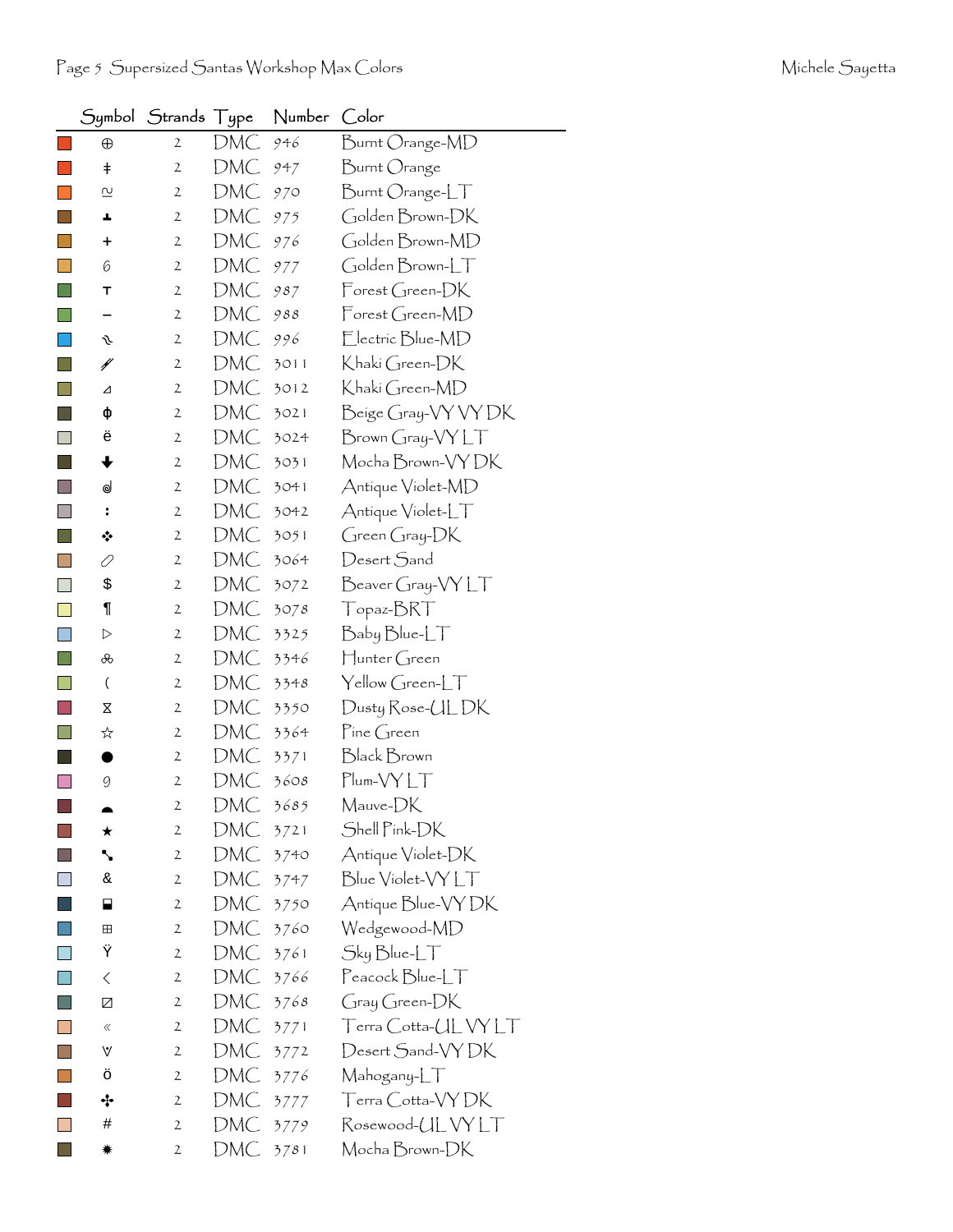|                |                          | Symbol Strands Type |     | Number | Color                                  |
|----------------|--------------------------|---------------------|-----|--------|----------------------------------------|
|                | $\oplus$                 | $\mathbf{2}$        | DMC | 946    | Burnt Orange-MD                        |
|                | $^\mathrm{+}$            | $\mathbf{2}$        | DMC | 947    | Burnt Orange                           |
|                | $\overline{\mathsf{c}}$  | $\mathbf{2}$        | DMC | 970    | Burnt Orange-LT                        |
|                | ┻                        | $\mathbf{2}$        | DMC | 975    | Golden Brown-DK                        |
| $\sim$         | +                        | 2                   | DMC | 976    | Golden Brown-MD                        |
|                | 6                        | 2                   | DMC | 977    | Golden Brown-LT                        |
|                | T                        | 2                   | DMC | 987    | $\mathsf{Forest}$ Green- $\mathsf{DK}$ |
|                |                          | 2                   | DMC | 988    | Forest Green-MD                        |
|                | s                        | $\mathbf{2}$        | DMC | 996    | Electric Blue-MD                       |
|                | ¥                        | 2                   | DMC | 3011   | Khakí Green-DK                         |
|                | ⊿                        | $\mathbf{2}$        | DMC | 3012   | Khaki Green-MD                         |
|                | ф                        | 2                   | DMC | 3021   | Beige Gray-VY VY DK                    |
|                | ë                        | $\mathbf{2}$        | DMC | 3024   | $Brown Gray-VYLT$                      |
|                | ╈                        | $\mathbf{2}$        | DMC | 3031   | Mocha Brown-VY DK                      |
|                | ⊌                        | $\overline{2}$      | DMC | 3041   | Antique Violet-MD                      |
| L.             | ÷                        | 2                   | DMC | 3042   | Antique Violet-LT                      |
|                | ❖                        | $\mathbf{2}$        | DMC | 3051   | Green Gray-DK                          |
|                | 0                        | 2                   | DMC | 3064   | Desert Sand                            |
|                | \$                       | $\mathbf{2}$        | DMC | 3072   | Beaver Gray-VY LT                      |
|                | $\P$                     | $\mathbf{2}$        | DMC | 3078   | Topaz-BRT                              |
|                | ▷                        | 2                   | DMC | 3325   | Baby Blue-LT                           |
|                | ൿ                        | 2                   | DMC | 3346   | Hunter Green                           |
|                | $\overline{\mathcal{L}}$ | $\mathbf{2}$        | DMC | 3348   | $\text{Yellow Green-LT}$               |
|                | Χ                        | 2                   | DMC | 3350   | Dusty Rose-UL DK                       |
|                | ☆                        | 2                   | DMC | 3364   | Pine Green                             |
|                |                          | $\mathbf{2}$        | DMC | 3371   | Black Brown                            |
|                | 9                        | $\mathbf{2}$        | DMC | 3608   | Plum-VY LT                             |
|                |                          | 2                   | DMC | 3685   | Mauve-DK                               |
|                | ★                        | $\mathbf{2}$        | DMC | 3721   | Shell Pink-DK                          |
|                | ╲                        | $\mathbf{2}$        | DMC | 3740   | Antique Violet-DK                      |
|                | &                        | $\mathbf{2}$        | DMC | 3747   | Blue Violet-VY LT                      |
|                | ⊟                        | $\mathbf{2}$        | DMC | 3750   | Antique Blue-VY DK                     |
|                | ⊞                        | 2                   | DMC | 3760   | Wedgewood-MD                           |
|                | Ϋ                        | $\mathbf{2}$        | DMC | 3761   | $Sky Blue-LT$                          |
|                | $\, \zeta \,$            | $\mathbf{2}$        | DMC | 3766   | Peacock Blue-LT                        |
| <b>College</b> | Z                        | $\mathbf{2}$        | DMC | 3768   | Gray Green-DK                          |
|                | ≪                        | 2                   | DMC | 3771   | Terra Cotta-ULVYLT                     |
|                | V                        | $\mathbf{2}$        | DMC | 3772   | Desert Sand-VYDK                       |
|                | ö                        | 2                   | DMC | 3776   | Mahogany-LT                            |
|                | ÷                        | 2                   | DMC | 3777   | Terra Cotta-VYDK                       |
|                | #                        | $\mathbf{2}$        | DMC | 3779   | Rosewood-ULVYLT                        |
|                | ₩                        | 2                   | DMC | 3781   | Mocha Brown-DK                         |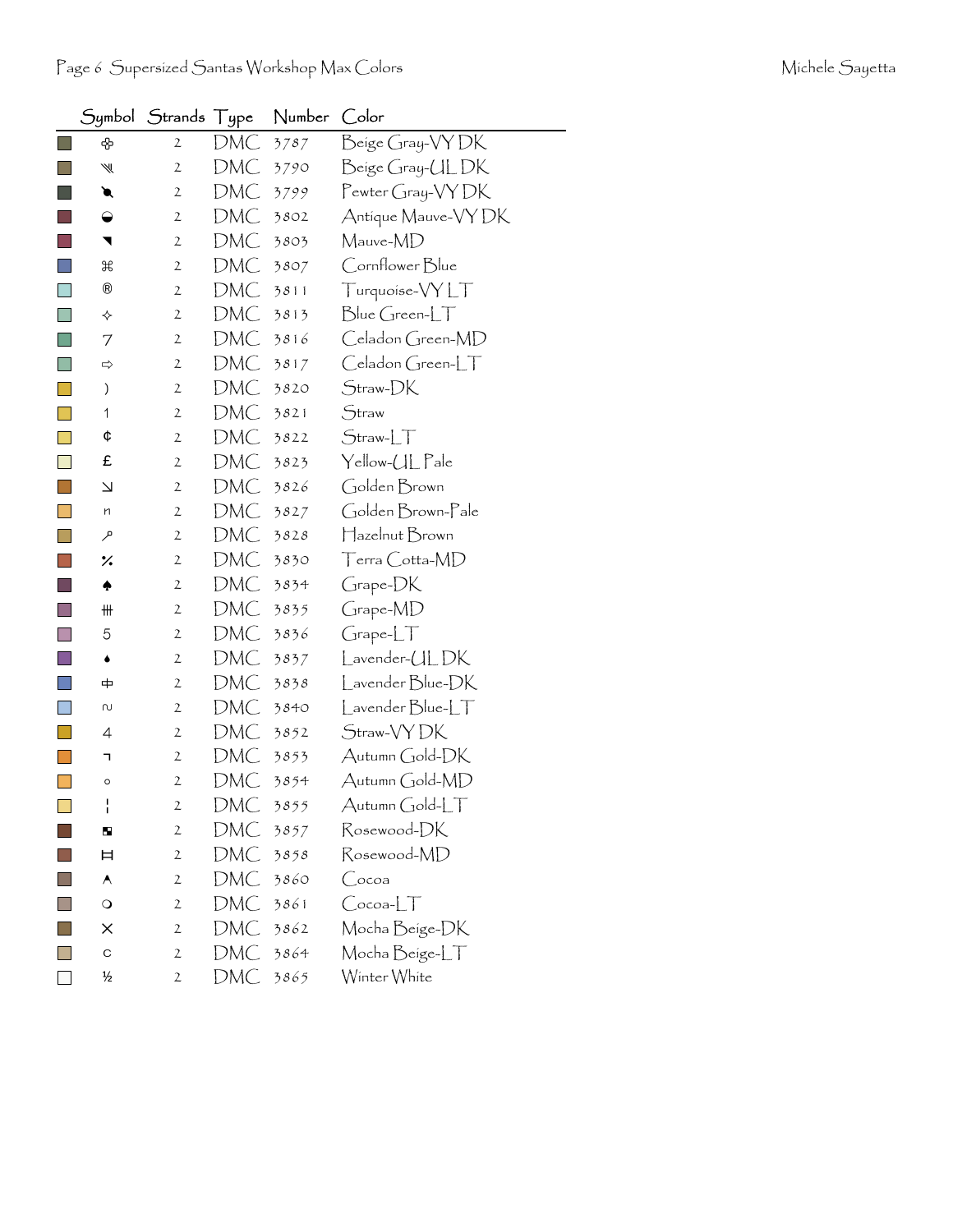|                             | Symbol                   | <b>Strands</b> | Type | Number | Color                     |
|-----------------------------|--------------------------|----------------|------|--------|---------------------------|
| $\mathcal{L}_{\mathcal{A}}$ | ♧                        | $\mathbf{2}$   | DMC  | 3787   | Beige Gray-VYDK           |
| l I                         | ₩                        | 2              | DMC  | 3790   | Beige Gray-UL DK          |
|                             | ◥                        | $\mathbf{2}$   | DMC  | 3799   | Pewter Gray-VY DK         |
|                             | ◒                        | 2              | DMC  | 3802   | Antique Mauve-VY DK       |
|                             | ◥                        | $\mathbf{2}$   | DMC  | 3803   | Mauve-MD                  |
|                             | ₩                        | 2              | DMC  | 3807   | Cornflower Blue           |
| $\Box$                      | $^{\circledR}$           | $\mathbf{2}$   | DMC  | 3811   | Turquoise-VYLT            |
|                             | ✧                        | $\mathbf{2}$   | DMC  | 3813   | $Blue Green-LT$           |
| $\Box$                      | 7                        | $\mathbf{2}$   | DMC  | 3816   | Celadon Green-MD          |
| l a                         | ⇨                        | 2              | DMC  | 3817   | Celadon Green-LT          |
|                             | )                        | 2              | DMC  | 3820   | Straw-DK                  |
|                             | 1                        | 2              | DMC  | 3821   | Straw                     |
|                             | ¢                        | 2              | DMC  | 3822   | $Straw-LT$                |
|                             | £                        | 2              | DMC  | 3823   | Yellow-UL Pale            |
| $\mathbb{R}^n$              | $\overline{\phantom{0}}$ | $\mathbf{2}$   | DMC  | 3826   | Golden Brown              |
|                             | n                        | 2              | DMC  | 3827   | Golden Brown-Pale         |
|                             | مر                       | $\mathbf{2}$   | DMC  | 3828   | Hazelnut Brown            |
|                             | ×.                       | 2              | DMC  | 3830   | Terra Cotta-MD            |
|                             | ♠                        | $\mathbf{2}$   | DMC  | 3834   | Grape-DK                  |
|                             | ₩                        | $\mathbf{2}$   | DMC  | 3835   | Grape-MD                  |
|                             | 5                        | 2              | DMC  | 3836   | GrapherLT                 |
|                             | ۰                        | 2              | DMC  | 3837   | Lavender-ULDK             |
|                             | 中                        | 2              | DMC  | 3838   | Lavender Blue-DK          |
| <b>Tara</b>                 | N                        | $\mathbf{2}$   | DMC  | 3840   | $L$ avender $B$ lue- $LT$ |
|                             | 4                        | $\mathbf{2}$   | DMC  | 3852   | Straw-VY DK               |
|                             | ٦                        | 2              | DMC  | 3853   | Autumn Gold-DK            |
|                             | O                        | $\mathbf{2}$   | DMC  | 3854   | Autumn Gold-MD            |
| $\Box$                      | ł                        | $\mathbf{2}$   | DMC  | 3855   | Autumn Gold-LT            |
|                             | н                        | 2              | DMC  | 3857   | Rosewood-DK               |
|                             | Ħ                        | $\mathbf{2}$   | DMC  | 3858   | Rosewood-MD               |
|                             | A                        | $\mathbf{2}$   | DMC  | 3860   | Сосоа                     |
|                             | $\circ$                  | $\mathbf{2}$   | DMC  | 3861   | $C$ ocoa- $LT$            |
|                             | ×                        | 2              | DMC  | 3862   | Mocha Beige-DK            |
|                             | C                        | 2              | DMC  | 3864   | Mocha Beige-LT            |
|                             | ⅓                        | 2              | DMC  | 3865   | Winter White              |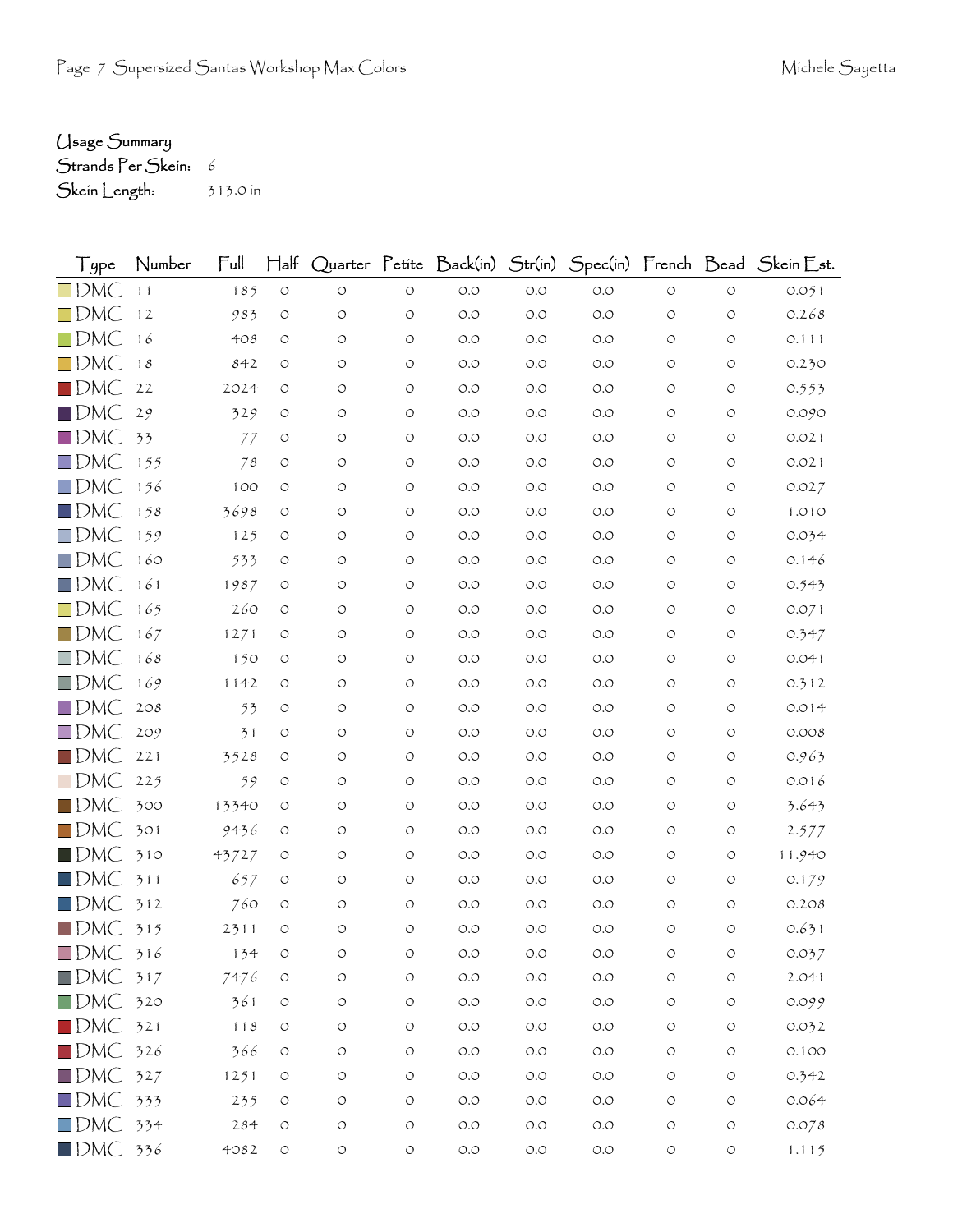## Usage Summary

Strands Per Skein: 6

Skein Length: 313.0 in

| Type                   | Number | $\mathsf{Full}$ | $H$ alf            |                    |            |                      |       |       |                    |                    | Quarter Petite Back(in) Str(in) Spec(in) French Bead Skein Est. |
|------------------------|--------|-----------------|--------------------|--------------------|------------|----------------------|-------|-------|--------------------|--------------------|-----------------------------------------------------------------|
| $\square$ DMC          | 11     | 185             | $\circ$            | $\circ$            | $\circ$    | $O.O$                | $O.O$ | $O.O$ | $\circ$            | $\circ$            | 0.051                                                           |
| $\square$ DMC          | 12     | 983             | $\circlearrowleft$ | $\circ$            | $\circ$    | $O.O$                | O.O   | O.O   | O                  | $\circ$            | 0.268                                                           |
| $\square$ DMC          | 16     | 408             | O                  | $\circ$            | O          | $O.O$                | O.O   | $O.O$ | O                  | $\circlearrowleft$ | 0.111                                                           |
| $\square$ DMC          | 18     | 842             | $\circ$            | O                  | O          | O.O                  | O.O   | O.O   | O                  | O                  | 0.230                                                           |
| $\blacksquare$ DMC     | 22     | 2024            | $\circ$            | O                  | O          | $O.O$                | O.O   | O.O   | O                  | $\circ$            | 0.553                                                           |
| $\blacksquare$ DMC     | 29     | 329             | $\circ$            | $\circ$            | $\circ$    | O.O                  | O.O   | O.O   | $\circ$            | $\circ$            | 0.090                                                           |
| $\square$ DMC          | 33     | 77              | O                  | O                  | O          | $O.O$                | O.O   | $O.O$ | O                  | $\circ$            | 0.021                                                           |
| $\square$ DMC          | 155    | 78              | $\circ$            | $\circ$            | O          | O.O                  | O.O   | O.O   | O                  | $\circ$            | 0.021                                                           |
| $\square$ DMC          | 156    | 100             | $\circ$            | $\circlearrowleft$ | O          | O.O                  | O.O   | O.O   | $\circ$            | $\circ$            | 0.027                                                           |
| $\square$ DMC          | 158    | 3698            | $\circ$            | O                  | $\circ$    | $O.O$                | O.O   | $O.O$ | O                  | O                  | 1.010                                                           |
| $\square$ DMC          | 159    | 125             | O                  | O                  | O          | $O.O$                | O.O   | $O.O$ | O                  | $\circ$            | 0.034                                                           |
| $\square$ DMC          | 160    | 533             | O                  | $\circ$            | $\circ$    | O.O                  | O.O   | O.O   | O                  | $\circ$            | 0.146                                                           |
| $\square$ DMC          | 161    | 1987            | $\circ$            | $\circ$            | O          | $O.O$                | O.O   | $O.O$ | O                  | $\circ$            | 0.543                                                           |
| $\square$ DMC          | 165    | 260             | $\circ$            | O                  | O          | $O.O$                | O.O   | $O.O$ | $\circ$            | $\circ$            | 0.071                                                           |
| $\square$ DMC          | 167    | 1271            | O                  | O                  | $\circ$    | O.O                  | O.O   | $O.O$ | O                  | $\circ$            | 0.347                                                           |
| $\square$ DMC          | 168    | 150             | $\circ$            | O                  | O          | $O.O$                | O.O   | $O.O$ | O                  | O                  | 0.041                                                           |
| $\square$ DMC          | 169    | 1142            | $\circ$            | O                  | O          | $O.O$                | O.O   | $O.O$ | $\circ$            | $\circ$            | 0.312                                                           |
| $\square$ DMC          | 208    | 53              | $\circ$            | O                  | $\circ$    | $O.O$                | O.O   | $O.O$ | O                  | $\circ$            | 0.014                                                           |
| $\square$ DMC          | 209    | 31              | O                  | O                  | O          | O.O                  | O.O   | O.O   | O                  | O                  | 0.008                                                           |
| $\square$ DMC          | 221    | 3528            | $\circ$            | $\circ$            | O          | $O.O$                | O.O   | $O.O$ | O                  | O                  | 0.963                                                           |
| $\square$ DMC          | 225    | 59              | $\circ$            | O                  | O          | O.O                  | O.O   | $O.O$ | O                  | O                  | 0.016                                                           |
| $\blacksquare$ DMC     | 300    | 13340           | O                  | O                  | O          | O.O                  | O.O   | O.O   | O                  | $\circ$            | 3.643                                                           |
| $\square$ DMC          | 301    | 9436            | $\circ$            | O                  | O          | $O.O$                | O.O   | $O.O$ | O                  | $\circ$            | 2.577                                                           |
| $\blacksquare$ DMC     | 310    | 43727           | $\circ$            | O                  | $\circ$    | $O.O$                | O.O   | O.O   | O                  | $\circ$            | 11.940                                                          |
| $\blacksquare$ DMC     | 311    | 657             | $\circ$            | O                  | O          | O.O                  | O.O   | O.O   | O                  | O                  | 0.179                                                           |
| $\Box$ DMC             | 312    | 760             | $\circ$            | O                  | O          | $O.O$                | O.O   | $O.O$ | O                  | $\circ$            | 0.208                                                           |
| $\square$ DMC          | 315    | 2311            | $\circ$            | $\circ$            | O          | $O.O$                | O.O   | O.O   | O                  | $\circ$            | 0.631                                                           |
| $\square$ DMC          | 316    | 134             | O                  | O                  | O          | O.O                  | O.O   | O.O   |                    | O                  | 0.037                                                           |
| $\square$ DMC          | 317    | 7476            | $\circlearrowleft$ | $\bigcirc$         | $\bigcirc$ | $O.O$                | O.O   | O.O   | $\circ$            | $\circlearrowleft$ | 2.041                                                           |
| $\square$ DMC          | 320    | 361             | $\circlearrowleft$ | $\bigcirc$         | $\bigcirc$ | $\circ$ .<br>$\circ$ | O.O   | $O.O$ | $\circlearrowleft$ | $\circlearrowleft$ | 0.099                                                           |
| $\blacksquare$ DMC     | 321    | 118             | $\circlearrowleft$ | $\bigcirc$         | O          | $O.O$                | O.O   | $O.O$ | $\circ$            | $\circlearrowleft$ | 0.032                                                           |
| $\square$ DMC          | 326    | 366             | $\circlearrowleft$ | $\bigcirc$         | $\bigcirc$ | $\circ$ .<br>$\circ$ | O.O   | $O.O$ | $\circ$            | $\circ$            | 0.100                                                           |
| $\square$ DMC          | 327    | 1251            | $\circlearrowleft$ | $\circ$            | $\bigcirc$ | $O.O$                | $O.O$ | $O.O$ | $\circ$            | $\circlearrowleft$ | 0.342                                                           |
| $\square$ DMC          | 333    | 235             | $\circlearrowleft$ | $\bigcirc$         | $\bigcirc$ | $\circ$ .<br>$\circ$ | O.O   | $O.O$ | $\circ$            | $\circ$            | 0.064                                                           |
| $\square$ DMC          | 334    | 284             | $\circlearrowleft$ | O                  | $\bigcirc$ | $O.O$                | O.O   | $O.O$ | O                  | $\circ$            | 0.078                                                           |
| $\blacksquare$ DMC 336 |        | 4082            | $\circlearrowleft$ | $\bigcirc$         | $\circ$    | $\circ$ .<br>$\circ$ | $O.O$ | $O.O$ | O                  | $\circlearrowleft$ | 1.115                                                           |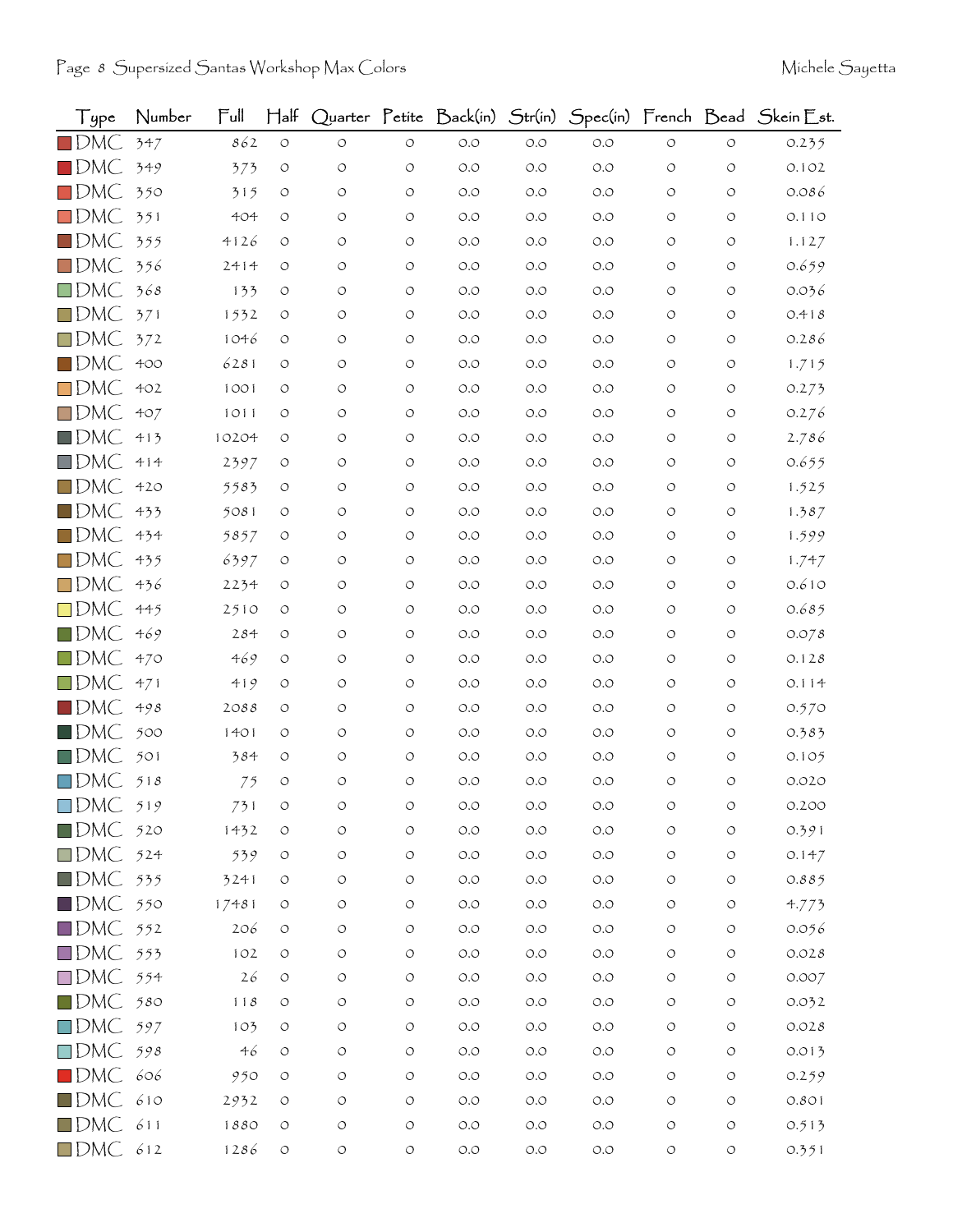| Type               | Number | Ful   | $H$ alf            |                    |                    | Quarter Petite Back(in) | Str(in) |       |                    |                    | Spec(in) French Bead Skein Est. |
|--------------------|--------|-------|--------------------|--------------------|--------------------|-------------------------|---------|-------|--------------------|--------------------|---------------------------------|
| $\blacksquare$ DMC | 347    | 862   | $\bigcirc$         | $\circ$            | $\circ$            | $O.O$                   | $O.O$   | O.O   | $\circlearrowleft$ | $\circ$            | 0.235                           |
| $\square$ DMC      | 349    | 373   | O                  | O                  | $\circ$            | O.O                     | O.O     | O.O   | $\circ$            | O                  | 0.102                           |
| $\blacksquare$ DMC | 350    | 315   | O                  | $\circ$            | $\circ$            | O.O                     | O.O     | O.O   | O                  | O                  | 0.086                           |
| $\square$ DMC      | 351    | 404   | O                  | O                  | $\circ$            | O.O                     | O.O     | 0.0   | O                  | O                  | 0.110                           |
| $\square$ DMC      | 355    | 4126  | O                  | O                  | $\circ$            | O.O                     | O.O     | O.O   | $\circ$            | O                  | 1.127                           |
| $\square$ DMC      | 356    | 2414  | O                  | $\circ$            | $\circ$            | O.O                     | O.O     | O.O   | $\circ$            | O                  | 0.659                           |
| $\square$ DMC      | 368    | 133   | O                  | O                  | $\circ$            | O.O                     | O.O     | O.O   | O                  | O                  | 0.036                           |
| $\square$ DMC      | 371    | 1532  | O                  | O                  | $\circ$            | O.O                     | O.O     | O.O   | O                  | O                  | 0.418                           |
| $\square$ DMC      | 372    | 1046  | O                  | O                  | $\circ$            | $O.O$                   | O.O     | O.O   | O                  | O                  | 0.286                           |
| $\square$ DMC      | 400    | 6281  | O                  | O                  | $\circ$            | O.O                     | O.O     | O.O   | O                  | O                  | 1.715                           |
| $\square$ DMC      | 402    | 1001  | O                  | O                  | $\circ$            | O.O                     | O.O     | O.O   | O                  | O                  | 0.273                           |
| $\square$ DMC      | 407    | 1011  | O                  | O                  | $\circ$            | O.O                     | O.O     | O.O   | $\circ$            | $\circ$            | 0.276                           |
| $\square$ DMC      | 413    | 10204 | O                  | O                  | $\circ$            | O.O                     | O.O     | O.O   | O                  | O                  | 2.786                           |
| $\square$ DMC      | 414    | 2397  | O                  | O                  | $\circ$            | O.O                     | O.O     | O.O   | $\circ$            | O                  | 0.655                           |
| $\square$ DMC      | 420    | 5583  | O                  | O                  | $\circ$            | O.O                     | O.O     | O.O   | O                  | $\circ$            | 1.525                           |
| $\square$ DMC      | 433    | 5081  | O                  | O                  | $\circ$            | O.O                     | O.O     | O.O   | O                  | O                  | 1.387                           |
| $\square$ DMC      | 434    | 5857  | O                  | O                  | $\circ$            | O.O                     | O.O     | O.O   | $\circ$            | $\circ$            | 1.599                           |
| $\square$ DMC      | 435    | 6397  | O                  | $\circ$            | $\circ$            | O.O                     | O.O     | O.O   | O                  | $\circ$            | 1.747                           |
| $\square$ DMC      | 436    | 2234  | O                  | O                  | O                  | O.O                     | O.O     | O.O   | O                  | O                  | 0.610                           |
| $\square$ DMC      | 445    | 2510  | O                  | O                  | $\circ$            | O.O                     | O.O     | O.O   | $\circ$            | O                  | 0.685                           |
| $\square$ DMC      | 469    | 284   | O                  | O                  | $\circ$            | O.O                     | O.O     | O.O   | O                  | O                  | 0.078                           |
| $\square$ DMC      | 470    | 469   | $\circ$            | $\circ$            | $\circ$            | O.O                     | O.O     | O.O   | O                  | O                  | 0.128                           |
| $\square$ DMC      | 471    | 419   | O                  | O                  | $\circ$            | O.O                     | O.O     | 0.0   | O                  | O                  | 0.114                           |
| $\square$ DMC      | 498    | 2088  | O                  | O                  | $\circ$            | O.O                     | O.O     | O.O   | O                  | O                  | 0.570                           |
| $\blacksquare$ DMC | 500    | 1401  | O                  | $\circ$            | $\circ$            | O.O                     | O.O     | O.O   | $\circ$            | O                  | 0.383                           |
| $\square$ DMC      | 501    | 384   | O                  | O                  | $\circ$            | O.O                     | O.O     | O.O   | O                  | O                  | 0.105                           |
| $\square$ DMC      | 518    | 75    | $\circ$            | $\circ$            | $\circ$            | $O.O$                   | O.O     | O.O   | O                  | O                  | 0.020                           |
| $\Box$ DMC         | 519    | 731   | O                  | O                  | O                  | O.O                     | O.O     | O.O   | O                  | O                  | 0.200                           |
| $\blacksquare$ DMC | 520    | 1432  | $\bigcirc$         | O                  | $\circ$            | $O.O$                   | $O.O$   | $O.O$ | $\circ$            | O                  | 0.391                           |
| $\square$ DMC      | 524    | 539   | $\circlearrowleft$ | $\circlearrowleft$ | $\circlearrowleft$ | $O.O$                   | $O.O$   | O.O   | $\circ$            | $\circlearrowleft$ | 0.147                           |
| $\blacksquare$ DMC | 535    | 3241  | O                  | O                  | $\circlearrowleft$ | O.O                     | $O.O$   | O.O   | $\circ$            | О                  | 0.885                           |
| $\blacksquare$ DMC | 550    | 17481 | O                  | O                  | $\circlearrowleft$ | $O.O$                   | $O.O$   | $O.O$ | $\circ$            | O                  | 4.773                           |
| $\square$ DMC      | 552    | 206   | O                  | O                  | $\circlearrowleft$ | $O.O$                   | O.O     | O.O   | $\circ$            | O                  | 0.056                           |
| $\square$ DMC      | 553    | 102   | $\circ$            | O                  | $\circlearrowleft$ | $O.O$                   | $O.O$   | $O.O$ | $\circ$            | O                  | 0.028                           |
| $\square$ DMC      | 554    | 26    | O                  | O                  | $\circ$            | $O.O$                   | O.O     | O.O   | $\circ$            | O                  | 0.007                           |
| $\blacksquare$ DMC | 580    | 118   | O                  | O                  | $\circ$            | $O.O$                   | O.O     | $O.O$ | $\circ$            | O                  | 0.032                           |
| $\square$ DMC      | 597    | 103   | O                  | O                  | $\circ$            | $O.O$                   | $O.O$   | O.O   | O                  | O                  | 0.028                           |
| $\square$ DMC      | 598    | 46    | O                  | O                  | $\circ$            | $O.O$                   | $O.O$   | O.O   | $\circ$            | O                  | 0.013                           |
| $\blacksquare$ DMC | 606    | 950   | O                  | O                  | $\circlearrowleft$ | $O.O$                   | $O.O$   | O.O   | $\circ$            | $\circ$            | 0.259                           |
| $\blacksquare$ DMC | 610    | 2932  | O                  | O                  | $\circ$            | $O.O$                   | $O.O$   | $O.O$ | $\circ$            | O                  | 0.801                           |
| $\square$ DMC      | 611    | 1880  | O                  | $\bigcirc$         | $\circlearrowleft$ | $O.O$                   | $O.O$   | O.O   | $\bigcirc$         | $\circlearrowleft$ | 0.513                           |
| $\Box$ DMC         | 612    | 1286  | $\circ$            | $\circ$            | $\circlearrowleft$ | $O.O$                   | $O.O$   | $O.O$ | $\bigcirc$         | $\circlearrowleft$ | 0.351                           |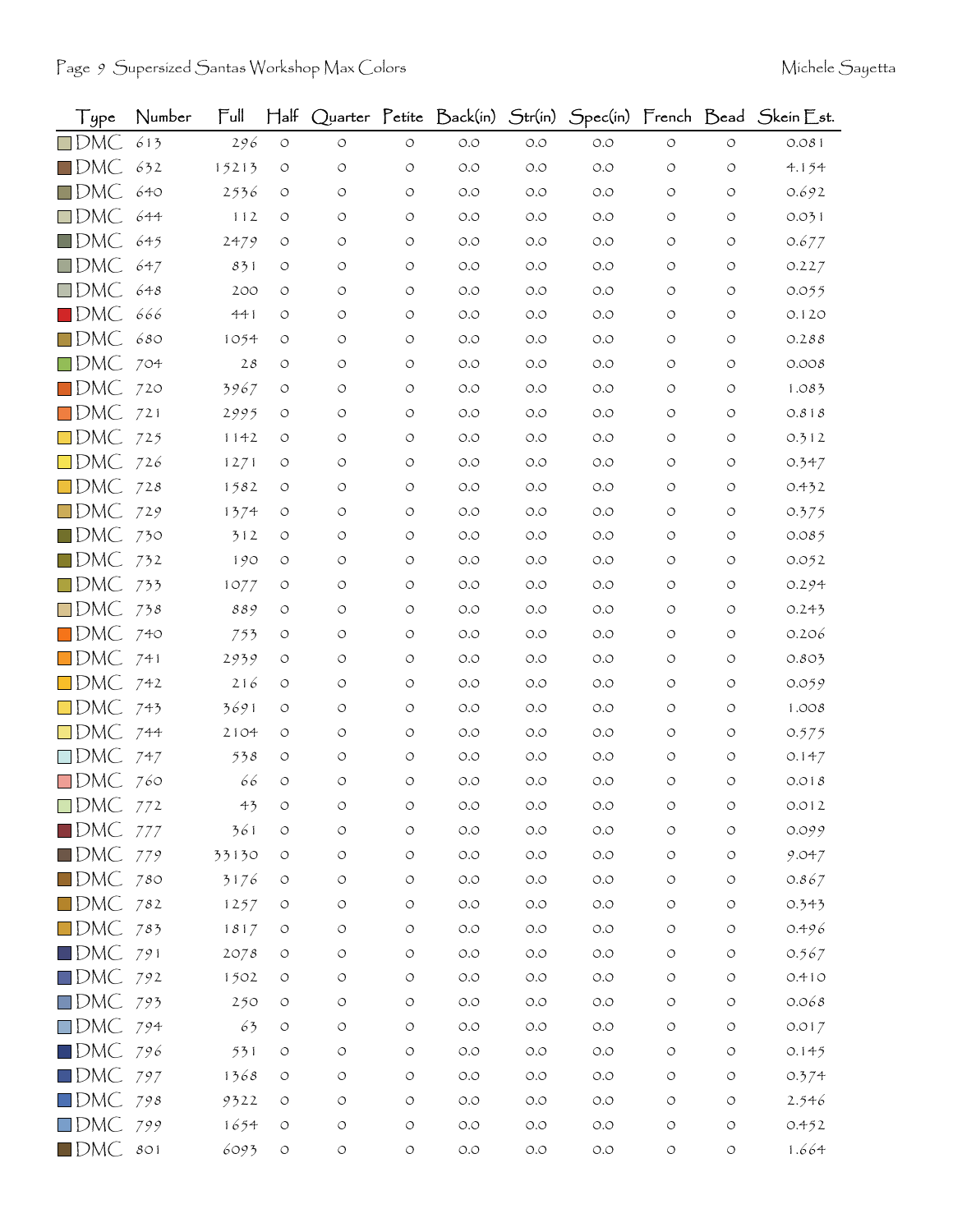| Type                   | Number | Ful            | $\operatorname{\mathsf{H}}\nolimits$ lf |            |                    | Quarter Petite Back(in) | Str(in) |       |                    |                    | Spec(in) French Bead Skein Est. |
|------------------------|--------|----------------|-----------------------------------------|------------|--------------------|-------------------------|---------|-------|--------------------|--------------------|---------------------------------|
| $\square$ DMC          | 613    | 296            | $\circ$                                 | $\circ$    | $\circ$            | $O.O$                   | O.O     | $O.O$ | $\circ$            | $\circ$            | 0.081                           |
| $\square$ DMC          | 632    | 15213          | $\circ$                                 | O          | O                  | $O.O$                   | O.O     | $O.O$ | O                  | O                  | 4.154                           |
| $\Box$ DMC             | 640    | 2536           | $\circ$                                 | $\circ$    | $\circ$            | O.O                     | $O.O$   | $O.O$ | O                  | $\circ$            | 0.692                           |
| $\square$ DMC          | 644    | 112            | O                                       | O          | $\circ$            | $O.O$                   | O.O     | O.O   | O                  | O                  | 0.031                           |
| $\blacksquare$ DMC     | 645    | 2479           | $\circ$                                 | O          | $\circ$            | $O.O$                   | O.O     | O.O   | $\circ$            | O                  | 0.677                           |
| $\Box$ DMC             | 647    | 831            | $\circ$                                 | O          | $\circ$            | O.O                     | O.O     | O.O   | $\circ$            | O                  | 0.227                           |
| $\square$ DMC          | 648    | 200            | O                                       | O          | $\circ$            | $O.O$                   | O.O     | $O.O$ | O                  | $\circ$            | 0.055                           |
| $\blacksquare$ DMC     | 666    | 441            | O                                       | O          | $\circ$            | O.O                     | O.O     | O.O   | O                  | O                  | 0.120                           |
| $\square$ DMC          | 680    | 1054           | O                                       | O          | $\circ$            | O.O                     | O.O     | O.O   | O                  | O                  | 0.288                           |
| $\square$ DMC          | 704    | 28             | O                                       | O          | O                  | O.O                     | O.O     | O.O   | O                  | O                  | 0.008                           |
| $\square$ DMC          | 720    | 3967           | O                                       | O          | $\circ$            | $O.O$                   | O.O     | $O.O$ | O                  | $\circ$            | 1.083                           |
| $\square$ DMC          | 721    | 2995           | O                                       | O          | $\circ$            | O.O                     | O.O     | O.O   | O                  | $\circ$            | 0.818                           |
| $\square$ DMC          | 725    | 1142           | O                                       | O          | O                  | $O.O$                   | O.O     | O.O   | O                  | O                  | 0.312                           |
| $\square$ DMC          | 726    | 1271           | O                                       | O          | $\circ$            | $O.O$                   | O.O     | O.O   | O                  | O                  | 0.347                           |
| $\square$ DMC          | 728    | 1582           | $\circ$                                 | O          | $\circ$            | $O.O$                   | O.O     | O.O   | O                  | $\circ$            | 0.432                           |
| $\square$ DMC          | 729    | 1374           | O                                       | O          | $\circ$            | $O.O$                   | O.O     | O.O   | O                  | O                  | 0.375                           |
| $\blacksquare$ DMC     | 730    | 312            | O                                       | O          | $\circ$            | $O.O$                   | O.O     | O.O   | $\circ$            | O                  | 0.085                           |
| $\square$ DMC          | 732    | 190            | $\circ$                                 | O          | $\circ$            | $O.O$                   | O.O     | O.O   | O                  | O                  | 0.052                           |
| $\square$ DMC          | 733    | 1077           | O                                       | $\circ$    | O                  | $O.O$                   | O.O     | O.O   | O                  | O                  | 0.294                           |
| $\square$ DMC          | 738    | 889            | $\circ$                                 | O          | $\circ$            | $O.O$                   | O.O     | $O.O$ | O                  | O                  | 0.243                           |
| $\blacksquare$ DMC     | 740    | 753            | O                                       | O          | $\circ$            | $O.O$                   | O.O     | O.O   | O                  | O                  | 0.206                           |
| $\square$ DMC          | 741    | 2939           | $\circ$                                 | O          | $\circ$            | O.O                     | O.O     | O.O   | O                  | O                  | 0.803                           |
| $\square$ DMC          | 742    | 216            | O                                       | O          | $\circ$            | $O.O$                   | O.O     | O.O   | O                  | O                  | 0.059                           |
| $\square$ DMC          | 743    | 3691           | O                                       | O          | $\circ$            | O.O                     | O.O     | O.O   | O                  | O                  | 1.008                           |
| $\square$ DMC          | 744    | 2104           | O                                       | O          | $\circ$            | O.O                     | O.O     | O.O   | $\circ$            | O                  | 0.575                           |
| $\square$ DMC          | 747    | 538            | O                                       | O          | $\circ$            | $O.O$                   | O.O     | O.O   | O                  | O                  | 0.147                           |
| $\square$ DMC          | 760    | 66             | $\circ$                                 | $\circ$    | $\circ$            | $O.O$                   | O.O     | $O.O$ | O                  | O                  | 0.018                           |
| $\square$ DMC          | 772    | 4 <sub>5</sub> | O                                       | O          | O                  | O.O                     | $O.O$   | O.O   | O                  | O                  | 0.012                           |
| $\blacksquare$ DMC     | 777    | 361            | $\circ$                                 | O          | $\circ$            | $O.O$                   | $O.O$   | $O.O$ | $\circ$            | O                  | 0.099                           |
| $\blacksquare$ DMC 779 |        | 33130          | $\circ$                                 | $\circ$    | $\bigcirc$         | $O.O$                   | $O.O$   | $O.O$ | $\circ$            | $\bigcirc$         | 9.047                           |
| $\blacksquare$ DMC 780 |        | 3176           | $\circ$                                 | O          | $\circ$            | $O.O$                   | $O.O$   | $O.O$ | $\circ$            | $\circlearrowleft$ | 0.867                           |
| $\blacksquare$ DMC 782 |        | 1257           | O                                       | O          | $\circ$            | $O.O$                   | $O.O$   | $O.O$ | O                  | O                  | 0.343                           |
| $\square$ DMC          | 783    | 1817           | $\circlearrowleft$                      | $\circ$    | $\circlearrowleft$ | $O.O$                   | O.O     | O.O   | $\circ$            | O                  | 0.496                           |
| $\blacksquare$ DMC     | 791    | 2078           | O                                       | O          | $\circ$            | $\circ$ .<br>$\circ$    | $O.O$   | $O.O$ | O                  | О                  | 0.567                           |
| $\square$ DMC          | 792    | 1502           | $\circ$                                 | O          | O                  | $O.O$                   | O.O     | $O.O$ | $\circ$            | $\circ$            | 0.410                           |
| $\square$ DMC          | 793    | 250            | O                                       | O          | $\circlearrowleft$ | $O.O$                   | O.O     | $O.O$ | $\circ$            | O                  | 0.068                           |
| $\Box$ DMC 794         |        | 63             | $\circ$                                 | O          | $\circlearrowleft$ | $O.O$                   | $O.O$   | $O.O$ | O                  | O                  | 0.017                           |
| $\square$ DMC          | 796    | 531            | O                                       | O          | O                  | $O.O$                   | $O.O$   | $O.O$ | $\circ$            | O                  | 0.145                           |
| $\square$ DMC          | 797    | 1368           | $\circ$                                 | O          | $\circ$            | $O.O$                   | $O.O$   | O.O   | $\circ$            | $\circ$            | 0.374                           |
| $\square$ DMC          | 798    | 9322           | $\circ$                                 | O          | $\circ$            | $O.O$                   | $O.O$   | $O.O$ | O                  | O                  | 2.546                           |
| $\square$ DMC          | 799    | 1654           | $\circ$                                 | O          | $\circ$            | $O.O$                   | $O.O$   | $O.O$ | O                  | $\circlearrowleft$ | 0.452                           |
| $\blacksquare$ DMC     | 801    | 6093           | $\circlearrowleft$                      | $\bigcirc$ | $\circlearrowleft$ | $O.O$                   | $O.O$   | $O.O$ | $\circlearrowleft$ | $\circ$            | 1.664                           |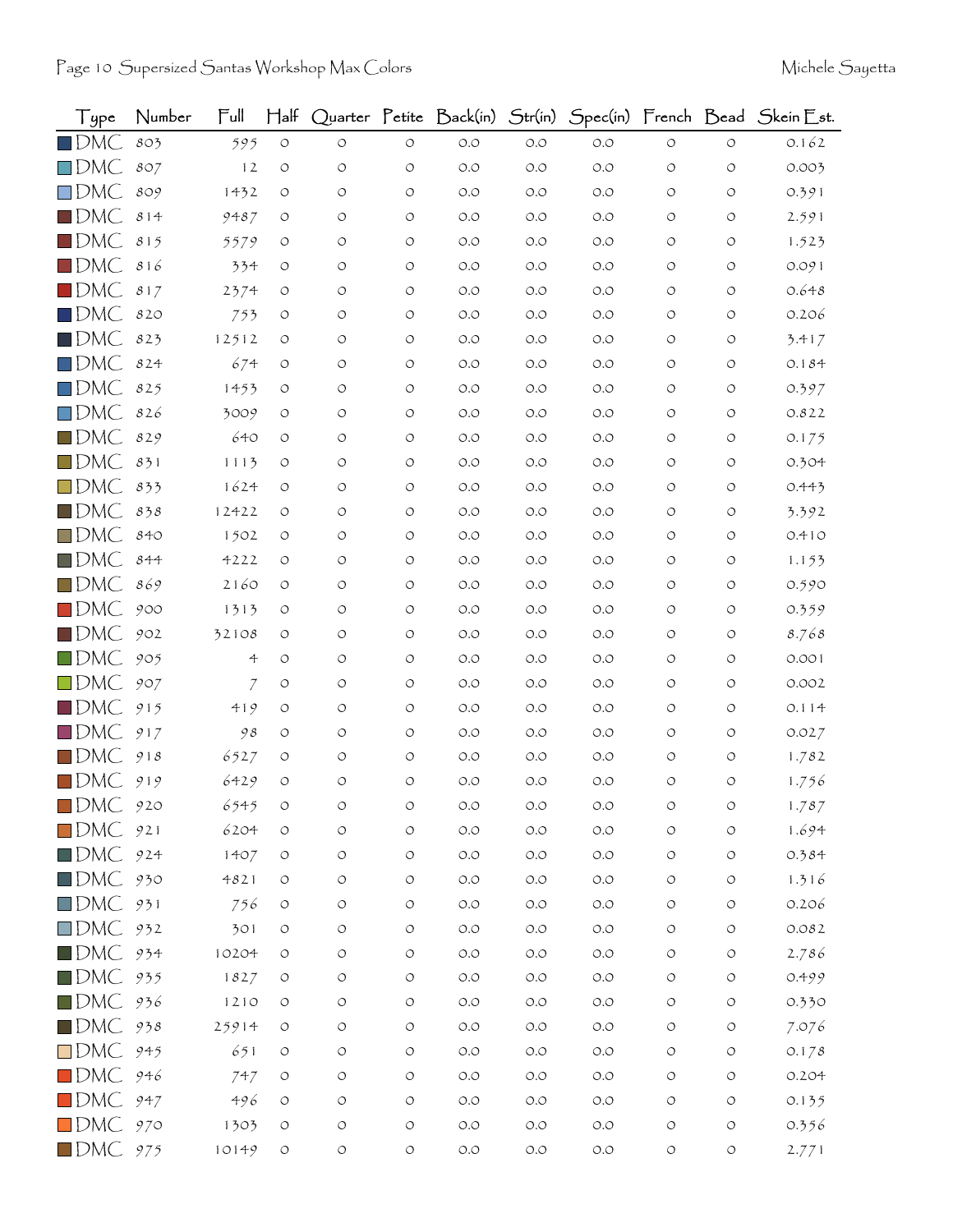| Type               | Number | Full         | $\mathsf{H\mathsf{a}\mathsf{lf}}$ |            |                    | Quarter Petite Back(in) | Str(in)              |       |                    |                    | Spec(in) French Bead Skein Est. |
|--------------------|--------|--------------|-----------------------------------|------------|--------------------|-------------------------|----------------------|-------|--------------------|--------------------|---------------------------------|
| $\blacksquare$ DMC | 803    | 595          | $\bigcirc$                        | $\circ$    | $\bigcirc$         | $O.O$                   | O.O                  | $O.O$ | $\circlearrowleft$ | $\circ$            | 0.162                           |
| $\square$ DMC      | 807    | 12           | $\circ$                           | $\circ$    | $\circlearrowleft$ | $O.O$                   | O.O                  | $O.O$ | O                  | $\circ$            | 0.003                           |
| $\Box$ DMC         | 809    | 1432         | O                                 | $\circ$    | $\circ$            | O.O                     | O.O                  | O.O   | O                  | O                  | 0.391                           |
| $\blacksquare$ DMC | 814    | 9487         | $\circ$                           | O          | $\circ$            | $O.O$                   | O.O                  | O.O   | $\circ$            | O                  | 2.591                           |
| $\blacksquare$ DMC | 815    | 5579         | O                                 | O          | $\circ$            | $O.O$                   | O.O                  | O.O   | $\circ$            | O                  | 1.523                           |
| $\blacksquare$ DMC | 816    | 334          | O                                 | O          | $\circ$            | O.O                     | O.O                  | O.O   | $\circ$            | $\circ$            | 0.091                           |
| $\blacksquare$ DMC | 817    | 2374         | $\circ$                           | O          | $\circ$            | $O.O$                   | O.O                  | O.O   | O                  | O                  | 0.648                           |
| $\blacksquare$ DMC | 820    | 753          | $\circ$                           | O          | $\circ$            | O.O                     | O.O                  | $O.O$ | O                  | O                  | 0.206                           |
| $\blacksquare$ DMC | 823    | 12512        | O                                 | $\circ$    | $\circ$            | O.O                     | O.O                  | O.O   | $\circ$            | O                  | 3.417                           |
| $\square$ DMC      | 824    | 674          | O                                 | O          | $\circ$            | $O.O$                   | O.O                  | O.O   | O                  | $\circ$            | 0.184                           |
| $\square$ DMC      | 825    | 1453         | O                                 | O          | $\circ$            | O.O                     | O.O                  | O.O   | $\circ$            | O                  | 0.397                           |
| $\square$ DMC      | 826    | 3009         | O                                 | O          | $\circ$            | $O.O$                   | O.O                  | O.O   | $\circ$            | $\circ$            | 0.822                           |
| $\blacksquare$ DMC | 829    | 640          | $\circ$                           | O          | $\circ$            | $O.O$                   | O.O                  | O.O   | O                  | $\circ$            | 0.175                           |
| $\square$ DMC      | 831    | 1113         | O                                 | O          | $\circ$            | O.O                     | O.O                  | O.O   | O                  | O                  | 0.304                           |
| $\square$ DMC      | 833    | 1624         | O                                 | O          | $\circ$            | O.O                     | O.O                  | O.O   | $\circ$            | $\circ$            | 0.443                           |
| $\blacksquare$ DMC | 838    | 12422        | O                                 | O          | $\circ$            | $O.O$                   | O.O                  | O.O   | O                  | O                  | 3.392                           |
| $\square$ DMC      | 840    | 1502         | O                                 | O          | $\circ$            | $O.O$                   | O.O                  | O.O   | $\circ$            | O                  | 0.410                           |
| $\blacksquare$ DMC | 844    | 4222         | $\circ$                           | O          | $\circ$            | O.O                     | O.O                  | O.O   | $\circ$            | $\circ$            | 1.153                           |
| $\square$ DMC      | 869    | 2160         | O                                 | O          | $\circ$            | O.O                     | O.O                  | O.O   | O                  | O                  | 0.590                           |
| $\blacksquare$ DMC | 900    | 1313         | O                                 | O          | $\circlearrowleft$ | $O.O$                   | O.O                  | O.O   | $\circ$            | O                  | 0.359                           |
| $\square$ DMC      | 902    | 32108        | $\circ$                           | O          | $\circ$            | O.O                     | O.O                  | $O.O$ | O                  | $\circ$            | 8.768                           |
| $\blacksquare$ DMC | 905    | 4            | O                                 | O          | O                  | O.O                     | O.O                  | O.O   | O                  | O                  | 0.001                           |
| $\square$ DMC      | 907    | $\mathcal I$ | O                                 | $\circ$    | $\circ$            | O.O                     | O.O                  | $O.O$ | $\circ$            | O                  | 0.002                           |
| $\blacksquare$ DMC | 915    | 419          | O                                 | O          | $\circ$            | O.O                     | O.O                  | O.O   | O                  | O                  | 0.114                           |
| $\Box$ DMC         | 917    | 98           | O                                 | O          | $\circ$            | O.O                     | O.O                  | O.O   | O                  | O                  | 0.027                           |
| $\blacksquare$ DMC | 918    | 6527         | $\circ$                           | O          | $\circ$            | $O.O$                   | O.O                  | O.O   | O                  | $\circ$            | 1.782                           |
| $\blacksquare$ DMC | 919    | 6429         | $\circ$                           | $\circ$    | $\circ$            | $O.O$                   | $O.O$                | O.O   | $\circ$            | O                  | 1.756                           |
| $\blacksquare$ DMC | 920    | 6545         |                                   | O          | O                  | $O.O$                   | O.O                  | O.O   | O                  | O                  | 1.787                           |
| $\square$ DMC      | 921    | 6204         | $\circlearrowleft$                | O          | $\circ$            | $O.O$                   | $O.O$                | $O.O$ | $\circlearrowleft$ | $\circlearrowleft$ | 1.694                           |
| $\blacksquare$ DMC | 924    | 1407         | $\bigcirc$                        | $\bigcirc$ | $\circ$            | $\circ$ .<br>$\circ$    | $O.O$                | $O.O$ | $\circ$            | $\circlearrowleft$ | 0.384                           |
| $\blacksquare$ DMC | 930    | 4821         | O                                 | $\bigcirc$ | $\circ$            | $\circ$ .<br>$\circ$    | $O.O$                | $O.O$ | $\circ$            | $\circlearrowleft$ | 1.316                           |
| $\square$ DMC      | 931    | 756          | $\circlearrowleft$                | O          | $\circ$            | $\circ$ .<br>$\circ$    | $\circ$ .<br>$\circ$ | $O.O$ | $\circlearrowleft$ | $\circ$            | 0.206                           |
| $\square$ DMC      | 932    | 301          | O                                 | O          | $\circ$            | $O.O$                   | $O.O$                | $O.O$ | $\circ$            | $\circ$            | 0.082                           |
| $\blacksquare$ DMC | 934    | 10204        | $\circ$                           | $\bigcirc$ | $\circ$            | $O.O$                   | $O.O$                | $O.O$ | $\circ$            | $\circlearrowleft$ | 2.786                           |
| $\blacksquare$ DMC | 935    | 1827         | O                                 | O          | $\circ$            | $\circ$ .<br>$\circ$    | $O.O$                | $O.O$ | $\circ$            | $\circ$            | 0.499                           |
| $\blacksquare$ DMC | 936    | 1210         | $\circ$                           | O          | $\circlearrowleft$ | $O.O$                   | $O.O$                | $O.O$ | $\circ$            | $\bigcirc$         | 0.330                           |
| $\blacksquare$ DMC | 938    | 25914        | $\circ$                           | O          | $\circ$            | $\circ$ .<br>$\circ$    | $O.O$                | $O.O$ | $\circ$            | $\circlearrowleft$ | 7.076                           |
| $\square$ DMC      | 945    | 651          | $\circlearrowleft$                | O          | O                  | $O.O$                   | $O.O$                | $O.O$ | $\circ$            | $\circ$            | 0.178                           |
| $\blacksquare$ DMC | 946    | 747          | $\circ$                           | O          | $\circ$            | $O.O$                   | $O.O$                | $O.O$ | $\circ$            | $\circ$            | 0.204                           |
| $\blacksquare$ DMC | 947    | 496          | O                                 | O          | $\circlearrowleft$ | $O.O$                   | $O.O$                | $O.O$ | $\circ$            | $\circ$            | 0.135                           |
| $\square$ DMC      | 970    | 1303         | $\circlearrowleft$                | O          | $\circ$            | $\circ$ .<br>$\circ$    | $O.O$                | $O.O$ | O                  | $\bigcirc$         | 0.356                           |
| $\blacksquare$ DMC | 975    | 10149        | $\circlearrowleft$                | $\bigcirc$ | $\circlearrowleft$ | $O.O$                   | $O.O$                | $O.O$ | $\circlearrowleft$ | $\bigcirc$         | 2.771                           |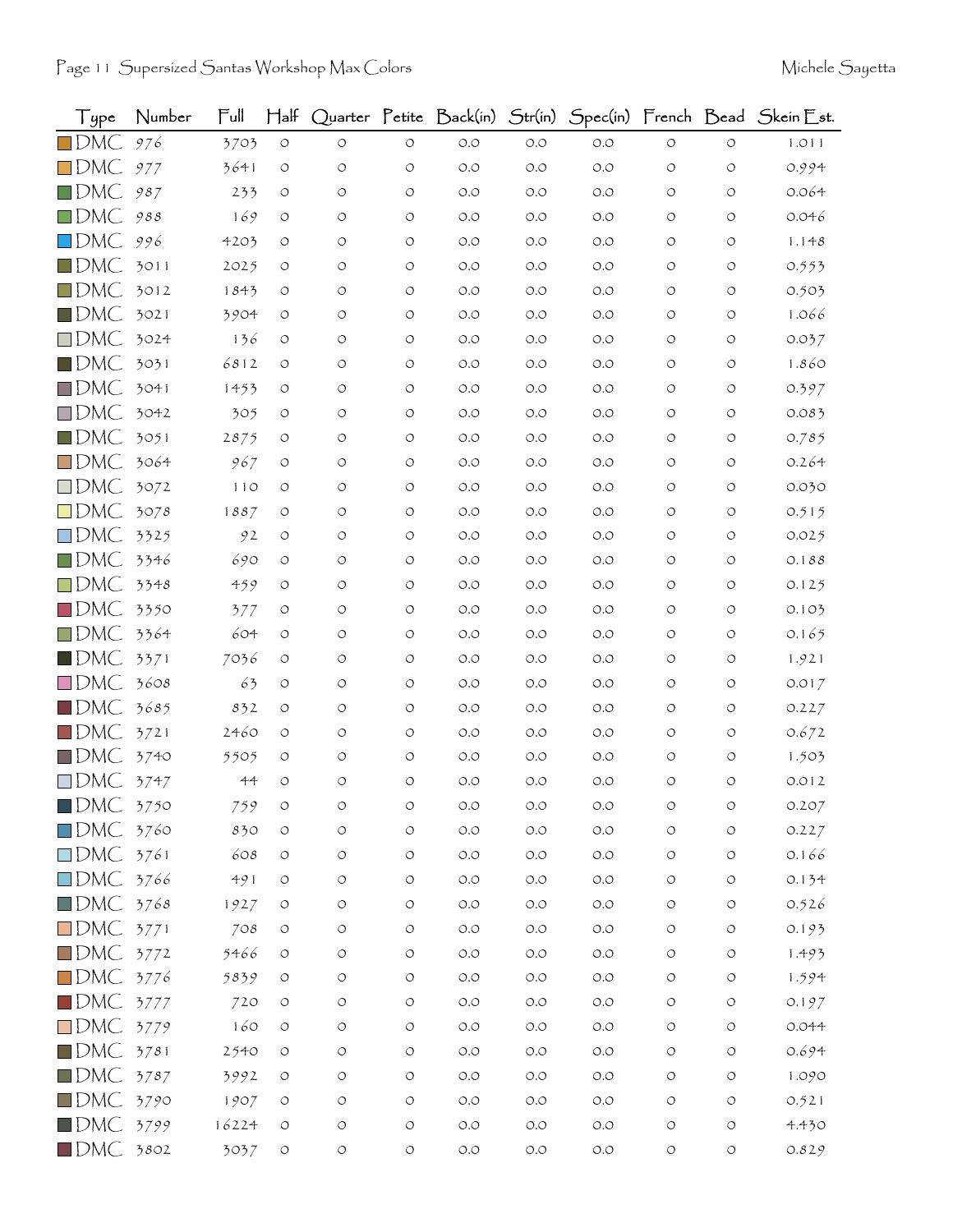| Type               | Number | Full   | $\mathsf{H\mathsf{a}\mathsf{lf}}$ |            |                    | Quarter Petite Back(in) | Str(in) |       |                    |                    | Spec(in) French Bead Skein Est. |
|--------------------|--------|--------|-----------------------------------|------------|--------------------|-------------------------|---------|-------|--------------------|--------------------|---------------------------------|
| $\square$ DMC      | 976    | 3703   | $\circlearrowleft$                | $\circ$    | $\circ$            | $O.O$                   | $O.O$   | $O.O$ | $\circ$            | $\circ$            | 1.011                           |
| $\square$ DMC      | 977    | 3641   | $\circ$                           | O          | $\circ$            | O.O                     | O.O     | $O.O$ | O                  | $\circ$            | 0.994                           |
| $\square$ DMC      | 987    | 233    | O                                 | $\circ$    | O                  | O.O                     | O.O     | $O.O$ | O                  | O                  | 0.064                           |
| $\square$ DMC      | 988    | 169    | O                                 | O          | $\circ$            | $O.O$                   | O.O     | O.O   | O                  | O                  | 0.046                           |
| $\square$ DMC      | 996    | 4203   | O                                 | O          | $\circ$            | O.O                     | O.O     | $O.O$ | O                  | O                  | 1.148                           |
| $\blacksquare$ DMC | 3011   | 2025   | O                                 | O          | $\circ$            | O.O                     | O.O     | O.O   | $\circ$            | O                  | 0.553                           |
| $\square$ DMC      | 3012   | 1843   | O                                 | O          | $\circ$            | $O.O$                   | O.O     | O.O   | O                  | O                  | 0.503                           |
| $\square$ DMC      | 3021   | 3904   | O                                 | O          | $\circ$            | O.O                     | O.O     | $O.O$ | O                  | O                  | 1.066                           |
| $\square$ DMC      | 3024   | 136    | O                                 | $\circ$    | $\circ$            | O.O                     | O.O     | O.O   | $\circ$            | O                  | 0.037                           |
| $\square$ DMC      | 3031   | 6812   | O                                 | O          | O                  | O.O                     | O.O     | $O.O$ | O                  | O                  | 1.860                           |
| $\square$ DMC      | 3041   | 1453   | O                                 | O          | $\circ$            | $O.O$                   | O.O     | $O.O$ | O                  | O                  | 0.397                           |
| $\square$ DMC      | 3042   | 305    | $\circ$                           | $\circ$    | $\circ$            | O.O                     | O.O     | O.O   | $\circ$            | O                  | 0.083                           |
| $\blacksquare$ DMC | 3051   | 2875   | O                                 | O          | O                  | $O.O$                   | O.O     | O.O   | O                  | O                  | 0.785                           |
| $\square$ DMC      | 3064   | 967    | $\circ$                           | O          | $\circ$            | O.O                     | O.O     | $O.O$ | $\circ$            | $\circ$            | 0.264                           |
| $\square$ DMC      | 3072   | 110    | O                                 | O          | O                  | $O.O$                   | O.O     | O.O   | O                  | O                  | 0.030                           |
| $\square$ DMC      | 3078   | 1887   | O                                 | O          | O                  | O.O                     | O.O     | O.O   | O                  | O                  | 0.515                           |
| $\square$ DMC      | 3325   | 92     | $\circ$                           | O          | $\circ$            | $O.O$                   | O.O     | O.O   | $\circ$            | O                  | 0.025                           |
| $\square$ DMC      | 3346   | 690    | $\circ$                           | O          | $\circ$            | O.O                     | O.O     | $O.O$ | O                  | O                  | 0.188                           |
| $\square$ DMC      | 3348   | 459    | O                                 | O          | $\circ$            | $O.O$                   | O.O     | O.O   | O                  | O                  | 0.125                           |
| $\square$ DMC      | 3350   | 377    | $\circ$                           | O          | $\circ$            | $O.O$                   | O.O     | $O.O$ | O                  | $\circ$            | 0.103                           |
| $\square$ DMC      | 3364   | 604    | O                                 | O          | $\circ$            | O.O                     | O.O     | $O.O$ | O                  | O                  | 0.165                           |
| $\blacksquare$ DMC | 3371   | 7036   | O                                 | O          | $\circ$            | $O.O$                   | O.O     | O.O   | O                  | $\circ$            | 1.921                           |
| $\square$ DMC      | 3608   | 63     | O                                 | O          | $\circ$            | $O.O$                   | O.O     | O.O   | $\circ$            | $\circ$            | 0.017                           |
| $\blacksquare$ DMC | 3685   | 832    | O                                 | O          | $\circ$            | O.O                     | O.O     | O.O   | $\circ$            | O                  | 0.227                           |
| $\square$ DMC      | 3721   | 2460   | O                                 | O          | $\circ$            | O.O                     | O.O     | O.O   | O                  | O                  | 0.672                           |
| $\Box$ DMC         | 3740   | 5505   | $\circ$                           | O          | $\circ$            | $O.O$                   | O.O     | O.O   | O                  | $\circ$            | 1.503                           |
| $\square$ DMC      | 3747   | $44 -$ | $\circ$                           | O          | $\circ$            | O.O                     | O.O     | O.O   | O                  | O                  | 0.012                           |
| $\blacksquare$ DMC | 3750   | 759    |                                   |            | O                  | O.O                     | O.O     | O.O   |                    |                    | 0.207                           |
| $\square$ DMC      | 3760   | 830    | $\circ$                           | O          | $\circ$            | $O.O$                   | $O.O$   | $O.O$ | $\circlearrowleft$ | $\circ$            | 0.227                           |
| $\square$ DMC      | 3761   | 608    | $\circ$                           | $\bigcirc$ | $\circ$            | $\circ$ .<br>$\circ$    | $O.O$   | $O.O$ | $\circlearrowleft$ | $\circlearrowleft$ | 0.166                           |
| $\square$ DMC      | 3766   | 491    | $\circ$                           | $\circ$    | $\circ$            | $\circ$ .<br>$\circ$    | $O.O$   | $O.O$ | $\circ$            | $\circ$            | 0.134                           |
| $\blacksquare$ DMC | 3768   | 1927   | $\circ$                           | O          | $\circ$            | $\circ$ .<br>$\circ$    | $O.O$   | $O.O$ | O                  | O                  | 0.526                           |
| $\square$ DMC      | 3771   | 708    | $\circ$                           | $\circ$    | $\circlearrowleft$ | $O.O$                   | $O.O$   | $O.O$ | $\circ$            | $\circ$            | 0.193                           |
| $\square$ DMC      | 3772   | 5466   | $\circ$                           | $\bigcirc$ | $\circ$            | $\circ$ .<br>$\circ$    | $O.O$   | $O.O$ | $\circ$            | $\circlearrowleft$ | 1.493                           |
| $\square$ DMC      | 3776   | 5839   | $\circ$                           | O          | $\circ$            | $O.O$                   | $O.O$   | $O.O$ | $\circ$            | O                  | 1.594                           |
| $\blacksquare$ DMC | 3777   | 720    | $\circ$                           | O          | $\circlearrowleft$ | $O.O$                   | $O.O$   | $O.O$ | $\circ$            | O                  | 0.197                           |
| $\square$ DMC      | 3779   | 160    | $\circ$                           | O          | $\circlearrowleft$ | $\circ$ .<br>$\circ$    | $O.O$   | $O.O$ | O                  | $\circlearrowleft$ | 0.044                           |
| $\blacksquare$ DMC | 3781   | 2540   | O                                 | O          | O                  | $\circ$ .<br>$\circ$    | $O.O$   | $O.O$ | $\circ$            | О                  | 0.694                           |
| $\blacksquare$ DMC | 3787   | 3992   | $\circ$                           | O          | $\circ$            | $O.O$                   | $O.O$   | $O.O$ | $\circ$            | $\circlearrowleft$ | 1.090                           |
| $\blacksquare$ DMC | 3790   | 1907   | O                                 | O          | $\circlearrowleft$ | $\circ$ .<br>$\circ$    | $O.O$   | $O.O$ | $\circ$            | O                  | 0.521                           |
| $\blacksquare$ DMC | 3799   | 16224  | $\circ$                           | $\bigcirc$ | $\circ$            | $O.O$                   | $O.O$   | $O.O$ | $\circ$            | $\circlearrowleft$ | 4.430                           |
| $\blacksquare$ DMC | 3802   | 3037   | $\circlearrowleft$                | $\bigcirc$ | $\circlearrowleft$ | $O.O$                   | $O.O$   | $O.O$ | $\circlearrowleft$ | $\circ$            | 0.829                           |